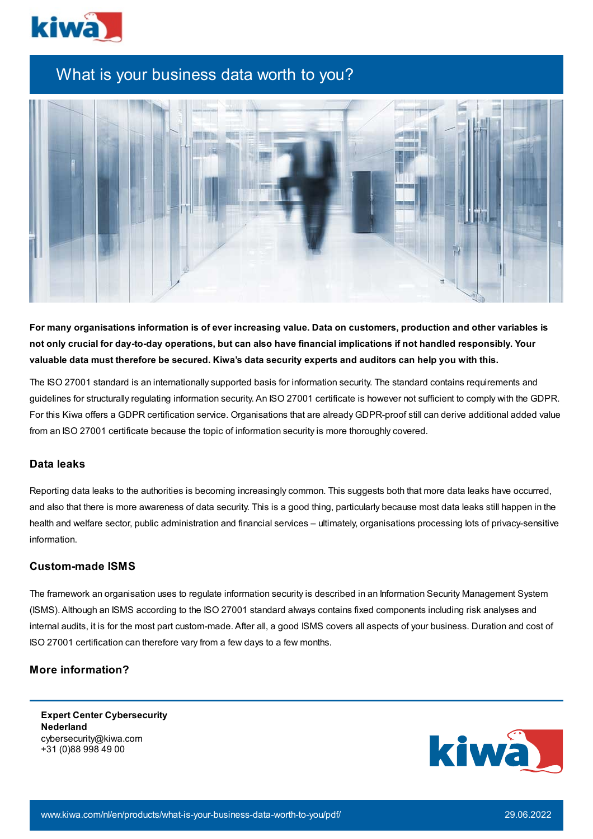

## What is your business data worth to you?



For many organisations information is of ever increasing value. Data on customers, production and other variables is not only crucial for day-to-day operations, but can also have financial implications if not handled responsibly. Your valuable data must therefore be secured. Kiwa's data security experts and auditors can help you with this.

The ISO 27001 standard is an internationally supported basis for information security. The standard contains requirements and guidelines for structurally regulating information security. An ISO 27001 certificate is however not sufficient to comply with the GDPR. For this Kiwa offers a GDPR certification service. Organisations that are already GDPR-proof still can derive additional added value from an ISO 27001 certificate because the topic of information security is more thoroughly covered.

## **Data leaks**

Reporting data leaks to the authorities is becoming increasingly common. This suggests both that more data leaks have occurred, and also that there is more awareness of data security. This is a good thing, particularly because most data leaks still happen in the health and welfare sector, public administration and financial services – ultimately, organisations processing lots of privacy-sensitive information.

## **Custom-made ISMS**

The framework an organisation uses to regulate information security is described in an Information Security Management System (ISMS). Although an ISMS according to the ISO 27001 standard always contains fixed components including risk analyses and internal audits, it is for the most part custom-made. After all, a good ISMS covers all aspects of your business. Duration and cost of ISO 27001 certification can therefore vary from a few days to a few months.

## **More information?**

**Expert Center Cybersecurity Nederland** cybersecurity@kiwa.com +31 (0)88 998 49 00